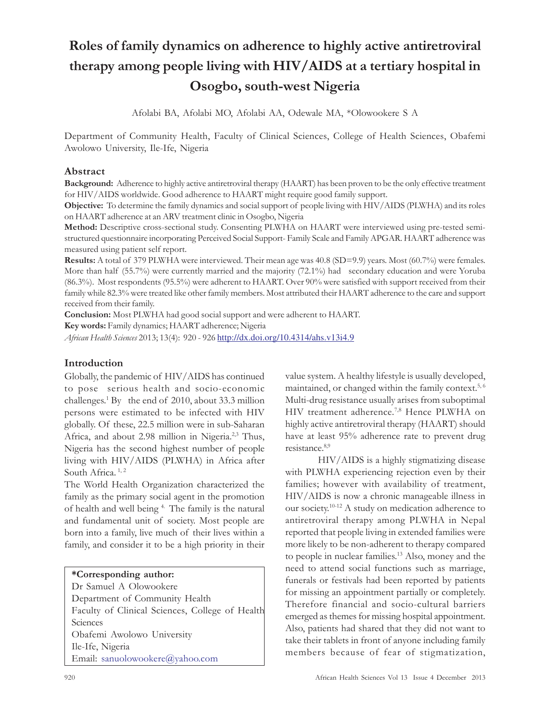# Roles of family dynamics on adherence to highly active antiretroviral therapy among people living with HIV/AIDS at a tertiary hospital in Osogbo, south-west Nigeria

Afolabi BA, Afolabi MO, Afolabi AA, Odewale MA, \*Olowookere S A

Department of Community Health, Faculty of Clinical Sciences, College of Health Sciences, Obafemi Awolowo University, Ile-Ife, Nigeria

# Abstract

Background: Adherence to highly active antiretroviral therapy (HAART) has been proven to be the only effective treatment for HIV/AIDS worldwide. Good adherence to HAART might require good family support.

Objective: To determine the family dynamics and social support of people living with HIV/AIDS (PLWHA) and its roles on HAART adherence at an ARV treatment clinic in Osogbo, Nigeria

Method: Descriptive cross-sectional study. Consenting PLWHA on HAART were interviewed using pre-tested semistructured questionnaire incorporating Perceived Social Support- Family Scale and Family APGAR. HAART adherence was measured using patient self report.

Results: A total of 379 PLWHA were interviewed. Their mean age was 40.8 (SD=9.9) years. Most (60.7%) were females. More than half (55.7%) were currently married and the majority (72.1%) had secondary education and were Yoruba (86.3%). Most respondents (95.5%) were adherent to HAART. Over 90% were satisfied with support received from their family while 82.3% were treated like other family members. Most attributed their HAART adherence to the care and support received from their family.

Conclusion: Most PLWHA had good social support and were adherent to HAART.

Key words: Family dynamics; HAART adherence; Nigeria

African Health Sciences 2013; 13(4): 920 - 926 http://dx.doi.org/10.4314/ahs.v13i4.9

## Introduction

Globally, the pandemic of HIV/AIDS has continued to pose serious health and socio-economic challenges. 1 By the end of 2010, about 33.3 million persons were estimated to be infected with HIV globally. Of these, 22.5 million were in sub-Saharan Africa, and about 2.98 million in Nigeria.<sup>2,3</sup> Thus, Nigeria has the second highest number of people living with HIV/AIDS (PLWHA) in Africa after South Africa.  $1, 2$ 

The World Health Organization characterized the family as the primary social agent in the promotion of health and well being <sup>4.</sup> The family is the natural and fundamental unit of society. Most people are born into a family, live much of their lives within a family, and consider it to be a high priority in their

#### \*Corresponding author:

Dr Samuel A Olowookere Department of Community Health Faculty of Clinical Sciences, College of Health **Sciences** Obafemi Awolowo University Ile-Ife, Nigeria Email: sanuolowookere@yahoo.com

value system. A healthy lifestyle is usually developed, maintained, or changed within the family context.<sup>5,6</sup> Multi-drug resistance usually arises from suboptimal HIV treatment adherence. 7,8 Hence PLWHA on highly active antiretroviral therapy (HAART) should have at least 95% adherence rate to prevent drug resistance  $8,9$ 

HIV/AIDS is a highly stigmatizing disease with PLWHA experiencing rejection even by their families; however with availability of treatment, HIV/AIDS is now a chronic manageable illness in our society. 10-12 A study on medication adherence to antiretroviral therapy among PLWHA in Nepal reported that people living in extended families were more likely to be non-adherent to therapy compared to people in nuclear families. <sup>13</sup> Also, money and the need to attend social functions such as marriage, funerals or festivals had been reported by patients for missing an appointment partially or completely. Therefore financial and socio-cultural barriers emerged as themes for missing hospital appointment. Also, patients had shared that they did not want to take their tablets in front of anyone including family members because of fear of stigmatization,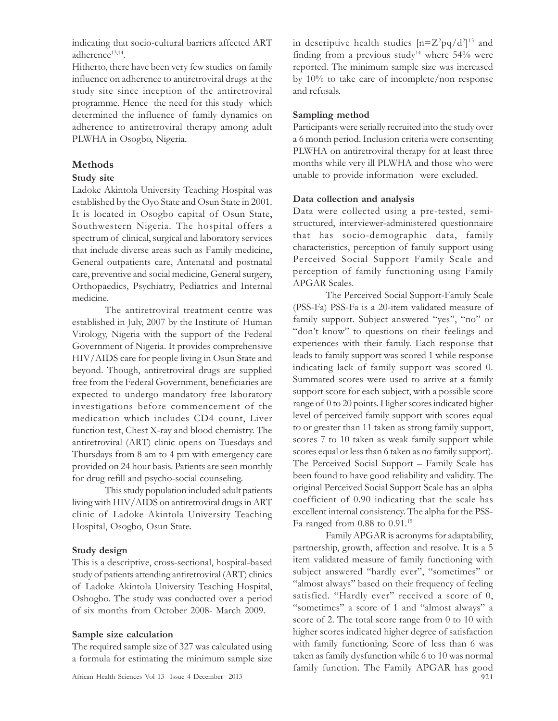indicating that socio-cultural barriers affected ART adherence<sup>13,14</sup>.

Hitherto, there have been very few studies on family influence on adherence to antiretroviral drugs at the study site since inception of the antiretroviral programme. Hence the need for this study which determined the influence of family dynamics on adherence to antiretroviral therapy among adult PLWHA in Osogbo, Nigeria.

# Methods

#### Study site

Ladoke Akintola University Teaching Hospital was established by the Oyo State and Osun State in 2001. It is located in Osogbo capital of Osun State, Southwestern Nigeria. The hospital offers a spectrum of clinical, surgical and laboratory services that include diverse areas such as Family medicine, General outpatients care, Antenatal and postnatal care, preventive and social medicine, General surgery, Orthopaedics, Psychiatry, Pediatrics and Internal medicine.

The antiretroviral treatment centre was established in July, 2007 by the Institute of Human Virology, Nigeria with the support of the Federal Government of Nigeria. It provides comprehensive HIV/AIDS care for people living in Osun State and beyond. Though, antiretroviral drugs are supplied free from the Federal Government, beneficiaries are expected to undergo mandatory free laboratory investigations before commencement of the medication which includes CD4 count, Liver function test, Chest X-ray and blood chemistry. The antiretroviral (ART) clinic opens on Tuesdays and Thursdays from 8 am to 4 pm with emergency care provided on 24 hour basis. Patients are seen monthly for drug refill and psycho-social counseling.

This study population included adult patients living with HIV/AIDS on antiretroviral drugs in ART clinic of Ladoke Akintola University Teaching Hospital, Osogbo, Osun State.

## Study design

This is a descriptive, cross-sectional, hospital-based study of patients attending antiretroviral (ART) clinics of Ladoke Akintola University Teaching Hospital, Oshogbo. The study was conducted over a period of six months from October 2008- March 2009.

#### Sample size calculation

The required sample size of 327 was calculated using a formula for estimating the minimum sample size

in descriptive health studies  $[n=Z^2pq/d^2]^{13}$  and finding from a previous study<sup>14</sup> where  $54\%$  were reported. The minimum sample size was increased by 10% to take care of incomplete/non response and refusals.

#### Sampling method

Participants were serially recruited into the study over a 6 month period. Inclusion criteria were consenting PLWHA on antiretroviral therapy for at least three months while very ill PLWHA and those who were unable to provide information were excluded.

#### Data collection and analysis

Data were collected using a pre-tested, semistructured, interviewer-administered questionnaire that has socio-demographic data, family characteristics, perception of family support using Perceived Social Support Family Scale and perception of family functioning using Family APGAR Scales.

The Perceived Social Support-Family Scale (PSS-Fa) PSS-Fa is a 20-item validated measure of family support. Subject answered "yes", "no" or "don't know" to questions on their feelings and experiences with their family. Each response that leads to family support was scored 1 while response indicating lack of family support was scored 0. Summated scores were used to arrive at a family support score for each subject, with a possible score range of 0 to 20 points. Higher scores indicated higher level of perceived family support with scores equal to or greater than 11 taken as strong family support, scores 7 to 10 taken as weak family support while scores equal or less than 6 taken as no family support). The Perceived Social Support – Family Scale has been found to have good reliability and validity. The original Perceived Social Support Scale has an alpha coefficient of 0.90 indicating that the scale has excellent internal consistency. The alpha for the PSS-Fa ranged from  $0.88$  to  $0.91$ .<sup>15</sup>

African Health Sciences Vol 13 Issue 4 December 2013 921 Family APGAR is acronyms for adaptability, partnership, growth, affection and resolve. It is a 5 item validated measure of family functioning with subject answered "hardly ever", "sometimes" or "almost always" based on their frequency of feeling satisfied. "Hardly ever" received a score of 0, "sometimes" a score of 1 and "almost always" a score of 2. The total score range from 0 to 10 with higher scores indicated higher degree of satisfaction with family functioning. Score of less than 6 was taken as family dysfunction while 6 to 10 was normal family function. The Family APGAR has good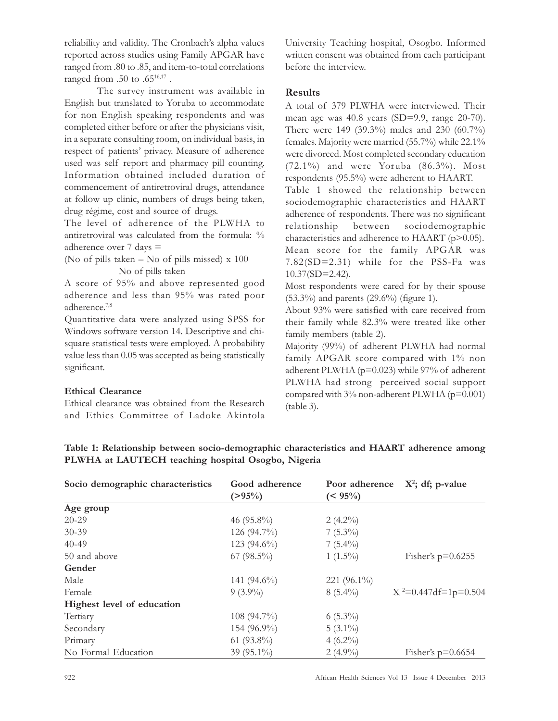reliability and validity. The Cronbach's alpha values reported across studies using Family APGAR have ranged from .80 to .85, and item-to-total correlations ranged from  $.50$  to  $.65^{16,17}$  .

The survey instrument was available in English but translated to Yoruba to accommodate for non English speaking respondents and was completed either before or after the physicians visit, in a separate consulting room, on individual basis, in respect of patients' privacy. Measure of adherence used was self report and pharmacy pill counting. Information obtained included duration of commencement of antiretroviral drugs, attendance at follow up clinic, numbers of drugs being taken, drug régime, cost and source of drugs.

The level of adherence of the PLWHA to antiretroviral was calculated from the formula: % adherence over 7 days =

(No of pills taken – No of pills missed) x 100 No of pills taken

A score of 95% and above represented good adherence and less than 95% was rated poor adherence.7,8

Quantitative data were analyzed using SPSS for Windows software version 14. Descriptive and chisquare statistical tests were employed. A probability value less than 0.05 was accepted as being statistically significant.

## Ethical Clearance

Ethical clearance was obtained from the Research and Ethics Committee of Ladoke Akintola University Teaching hospital, Osogbo. Informed written consent was obtained from each participant before the interview.

### Results

A total of 379 PLWHA were interviewed. Their mean age was 40.8 years (SD=9.9, range 20-70). There were 149 (39.3%) males and 230 (60.7%) females. Majority were married (55.7%) while 22.1% were divorced. Most completed secondary education (72.1%) and were Yoruba (86.3%). Most respondents (95.5%) were adherent to HAART.

Table 1 showed the relationship between sociodemographic characteristics and HAART adherence of respondents. There was no significant relationship between sociodemographic characteristics and adherence to HAART (p>0.05). Mean score for the family APGAR was 7.82(SD=2.31) while for the PSS-Fa was 10.37(SD=2.42).

Most respondents were cared for by their spouse (53.3%) and parents (29.6%) (figure 1).

About 93% were satisfied with care received from their family while 82.3% were treated like other family members (table 2).

Majority (99%) of adherent PLWHA had normal family APGAR score compared with 1% non adherent PLWHA (p=0.023) while 97% of adherent PLWHA had strong perceived social support compared with 3% non-adherent PLWHA (p=0.001) (table 3).

| Socio demographic characteristics | Good adherence | Poor adherence | $X^2$ ; df; p-value    |
|-----------------------------------|----------------|----------------|------------------------|
|                                   | $(>95\%)$      | $(< 95\%)$     |                        |
| Age group                         |                |                |                        |
| $20 - 29$                         | 46 $(95.8\%)$  | $2(4.2\%)$     |                        |
| $30 - 39$                         | 126 (94.7%)    | $7(5.3\%)$     |                        |
| $40 - 49$                         | 123 $(94.6\%)$ | $7(5.4\%)$     |                        |
| 50 and above                      | $67 (98.5\%)$  | $1(1.5\%)$     | Fisher's $p=0.6255$    |
| Gender                            |                |                |                        |
| Male                              | 141 $(94.6\%)$ | 221 $(96.1\%)$ |                        |
| Female                            | $9(3.9\%)$     | $8(5.4\%)$     | $X^2=0.447df=1p=0.504$ |
| Highest level of education        |                |                |                        |
| Tertiary                          | $108(94.7\%)$  | $6(5.3\%)$     |                        |
| Secondary                         | $154(96.9\%)$  | $5(3.1\%)$     |                        |
| Primary                           | 61 $(93.8\%)$  | $4(6.2\%)$     |                        |
| No Formal Education               | 39 (95.1%)     | $2(4.9\%)$     | Fisher's $p=0.6654$    |

Table 1: Relationship between socio-demographic characteristics and HAART adherence among PLWHA at LAUTECH teaching hospital Osogbo, Nigeria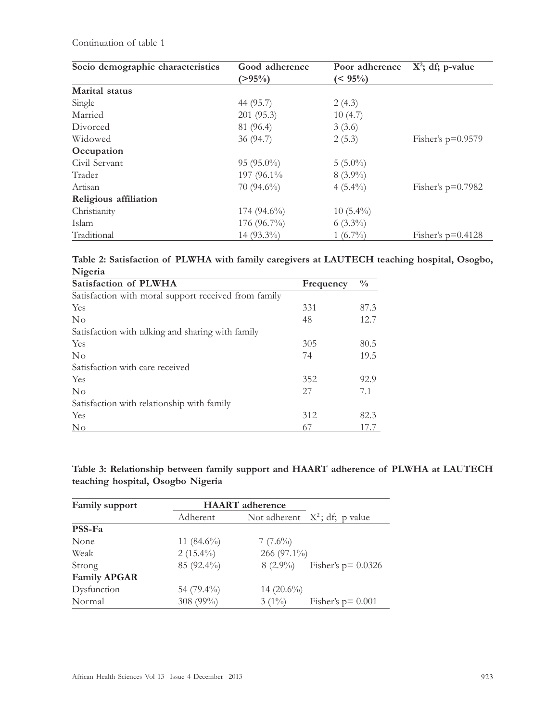Continuation of table 1

| Socio demographic characteristics | Good adherence | Poor adherence | $X^2$ ; df; p-value |  |
|-----------------------------------|----------------|----------------|---------------------|--|
|                                   | $(>95\%)$      | $(5.95\%)$     |                     |  |
| Marital status                    |                |                |                     |  |
| Single                            | 44 (95.7)      | 2(4.3)         |                     |  |
| Married                           | 201 (95.3)     | 10(4.7)        |                     |  |
| Divorced                          | 81 (96.4)      | 3(3.6)         |                     |  |
| Widowed                           | 36(94.7)       | 2(5.3)         | Fisher's $p=0.9579$ |  |
| Occupation                        |                |                |                     |  |
| Civil Servant                     | $95(95.0\%)$   | $5(5.0\%)$     |                     |  |
| Trader                            | 197 (96.1%)    | $8(3.9\%)$     |                     |  |
| Artisan                           | $70(94.6\%)$   | $4(5.4\%)$     | Fisher's $p=0.7982$ |  |
| Religious affiliation             |                |                |                     |  |
| Christianity                      | $174(94.6\%)$  | $10(5.4\%)$    |                     |  |
| Islam                             | 176 (96.7%)    | $6(3.3\%)$     |                     |  |
| Traditional                       | $14(93.3\%)$   | $1(6.7\%)$     | Fisher's $p=0.4128$ |  |

Table 2: Satisfaction of PLWHA with family caregivers at LAUTECH teaching hospital, Osogbo, Nigeria

| Satisfaction of PLWHA                                | Frequency | $\frac{0}{0}$ |
|------------------------------------------------------|-----------|---------------|
| Satisfaction with moral support received from family |           |               |
| Yes                                                  | 331       | 87.3          |
| No                                                   | 48        | 12.7          |
| Satisfaction with talking and sharing with family    |           |               |
| Yes                                                  | 305       | 80.5          |
| $\rm No$                                             | 74        | 19.5          |
| Satisfaction with care received                      |           |               |
| Yes                                                  | 352       | 92.9          |
| No                                                   | 27        | 7.1           |
| Satisfaction with relationship with family           |           |               |
| Yes                                                  | 312       | 82.3          |
| No                                                   | 67        | 17.7          |

Table 3: Relationship between family support and HAART adherence of PLWHA at LAUTECH teaching hospital, Osogbo Nigeria

| Family support      | <b>HAART</b> adherence |               |                                  |
|---------------------|------------------------|---------------|----------------------------------|
|                     | Adherent               |               | Not adherent $X^2$ ; df; p value |
| PSS-Fa              |                        |               |                                  |
| None                | 11 $(84.6\%)$          | $7(7.6\%)$    |                                  |
| Weak                | $2(15.4\%)$            | 266 (97.1%)   |                                  |
| Strong              | 85 (92.4%)             | $8(2.9\%)$    | Fisher's $p = 0.0326$            |
| <b>Family APGAR</b> |                        |               |                                  |
| Dysfunction         | 54 (79.4%)             | 14 $(20.6\%)$ |                                  |
| Normal              | 308 (99%)              | $3(1\%)$      | Fisher's $p = 0.001$             |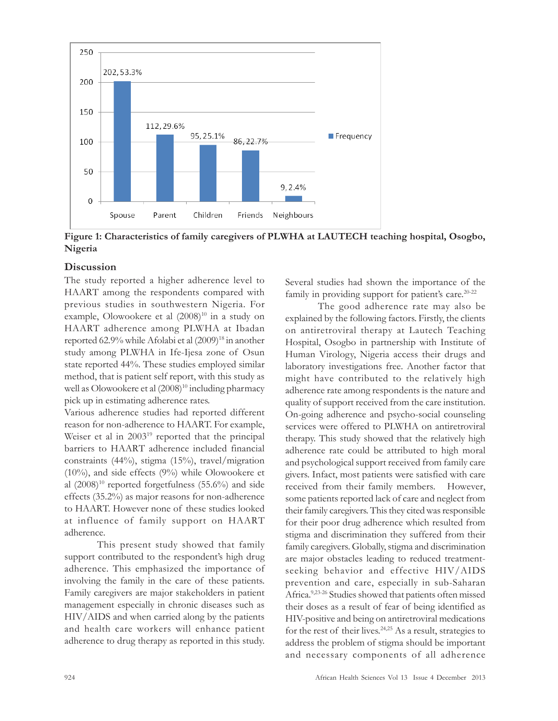

Figure 1: Characteristics of family caregivers of PLWHA at LAUTECH teaching hospital, Osogbo, Nigeria

## Discussion

The study reported a higher adherence level to HAART among the respondents compared with previous studies in southwestern Nigeria. For example, Olowookere et al  $(2008)^{10}$  in a study on HAART adherence among PLWHA at Ibadan reported 62.9% while Afolabi et al (2009)<sup>18</sup> in another study among PLWHA in Ife-Ijesa zone of Osun state reported 44%. These studies employed similar method, that is patient self report, with this study as well as Olowookere et al  $(2008)^{10}$  including pharmacy pick up in estimating adherence rates.

Various adherence studies had reported different reason for non-adherence to HAART. For example, Weiser et al in 2003<sup>19</sup> reported that the principal barriers to HAART adherence included financial constraints (44%), stigma (15%), travel/migration (10%), and side effects (9%) while Olowookere et al  $(2008)^{10}$  reported forgetfulness  $(55.6\%)$  and side effects (35.2%) as major reasons for non-adherence to HAART. However none of these studies looked at influence of family support on HAART adherence.

This present study showed that family support contributed to the respondent's high drug adherence. This emphasized the importance of involving the family in the care of these patients. Family caregivers are major stakeholders in patient management especially in chronic diseases such as HIV/AIDS and when carried along by the patients and health care workers will enhance patient adherence to drug therapy as reported in this study. Several studies had shown the importance of the family in providing support for patient's care.<sup>20-22</sup>

The good adherence rate may also be explained by the following factors. Firstly, the clients on antiretroviral therapy at Lautech Teaching Hospital, Osogbo in partnership with Institute of Human Virology, Nigeria access their drugs and laboratory investigations free. Another factor that might have contributed to the relatively high adherence rate among respondents is the nature and quality of support received from the care institution. On-going adherence and psycho-social counseling services were offered to PLWHA on antiretroviral therapy. This study showed that the relatively high adherence rate could be attributed to high moral and psychological support received from family care givers. Infact, most patients were satisfied with care received from their family members. However, some patients reported lack of care and neglect from their family caregivers. This they cited was responsible for their poor drug adherence which resulted from stigma and discrimination they suffered from their family caregivers. Globally, stigma and discrimination are major obstacles leading to reduced treatmentseeking behavior and effective HIV/AIDS prevention and care, especially in sub-Saharan Africa.9,23-26 Studies showed that patients often missed their doses as a result of fear of being identified as HIV-positive and being on antiretroviral medications for the rest of their lives. 24,25 As a result, strategies to address the problem of stigma should be important and necessary components of all adherence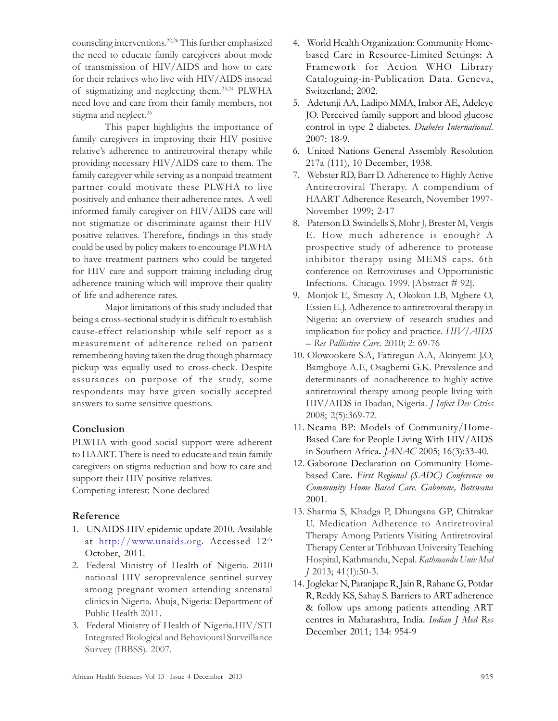counseling interventions. 22,26 This further emphasized the need to educate family caregivers about mode of transmission of HIV/AIDS and how to care for their relatives who live with HIV/AIDS instead of stigmatizing and neglecting them.23,24 PLWHA need love and care from their family members, not stigma and neglect.<sup>26</sup>

This paper highlights the importance of family caregivers in improving their HIV positive relative's adherence to antiretroviral therapy while providing necessary HIV/AIDS care to them. The family caregiver while serving as a nonpaid treatment partner could motivate these PLWHA to live positively and enhance their adherence rates. A well informed family caregiver on HIV/AIDS care will not stigmatize or discriminate against their HIV positive relatives. Therefore, findings in this study could be used by policy makers to encourage PLWHA to have treatment partners who could be targeted for HIV care and support training including drug adherence training which will improve their quality of life and adherence rates.

Major limitations of this study included that being a cross-sectional study it is difficult to establish cause-effect relationship while self report as a measurement of adherence relied on patient remembering having taken the drug though pharmacy pickup was equally used to cross-check. Despite assurances on purpose of the study, some respondents may have given socially accepted answers to some sensitive questions.

# Conclusion

PLWHA with good social support were adherent to HAART. There is need to educate and train family caregivers on stigma reduction and how to care and support their HIV positive relatives. Competing interest: None declared

# Reference

- 1. UNAIDS HIV epidemic update 2010. Available at http://www.unaids.org. Accessed 12th October, 2011.
- 2. Federal Ministry of Health of Nigeria. 2010 national HIV seroprevalence sentinel survey among pregnant women attending antenatal clinics in Nigeria. Abuja, Nigeria: Department of Public Health 2011.
- 3. Federal Ministry of Health of Nigeria.HIV/STI Integrated Biological and Behavioural Surveillance Survey (IBBSS). 2007.
- 4. World Health Organization: Community Homebased Care in Resource-Limited Settings: A Framework for Action WHO Library Cataloguing-in-Publication Data. Geneva, Switzerland; 2002.
- 5. Adetunji AA, Ladipo MMA, Irabor AE, Adeleye JO. Perceived family support and blood glucose control in type 2 diabetes. Diabetes International. 2007: 18-9.
- 6. United Nations General Assembly Resolution 217a (111), 10 December, 1938.
- 7. Webster RD, Barr D. Adherence to Highly Active Antiretroviral Therapy. A compendium of HAART Adherence Research, November 1997- November 1999; 2-17
- 8. Paterson D. Swindells S, Mohr J, Brester M, Vergis E. How much adherence is enough? A prospective study of adherence to protease inhibitor therapy using MEMS caps. 6th conference on Retroviruses and Opportunistic Infections. Chicago. 1999. [Abstract # 92].
- 9. Monjok E, Smesny A, Okokon I.B, Mgbere O, Essien E.J. Adherence to antiretroviral therapy in Nigeria: an overview of research studies and implication for policy and practice. HIV/AIDS – Res Palliative Care. 2010; 2: 69-76
- 10. Olowookere S.A, Fatiregun A.A, Akinyemi J.O, Bamgboye A.E, Osagbemi G.K. Prevalence and determinants of nonadherence to highly active antiretroviral therapy among people living with HIV/AIDS in Ibadan, Nigeria. *J Infect Dev Ctries* 2008; 2(5):369-72.
- 11. Ncama BP: Models of Community/Home-Based Care for People Living With HIV/AIDS in Southern Africa. JANAC 2005; 16(3):33-40.
- 12. Gaborone Declaration on Community Homebased Care. First Regional (SADC) Conference on Community Home Based Care. Gaborone, Botswana 2001.
- 13. Sharma S, Khadga P, Dhungana GP, Chitrakar U. Medication Adherence to Antiretroviral Therapy Among Patients Visiting Antiretroviral Therapy Center at Tribhuvan University Teaching Hospital, Kathmandu, Nepal. Kathmandu Univ Med J 2013; 41(1):50-3.
- 14. Joglekar N, Paranjape R, Jain R, Rahane G, Potdar R, Reddy KS, Sahay S. Barriers to ART adherence & follow ups among patients attending ART centres in Maharashtra, India. Indian J Med Res December 2011; 134: 954-9